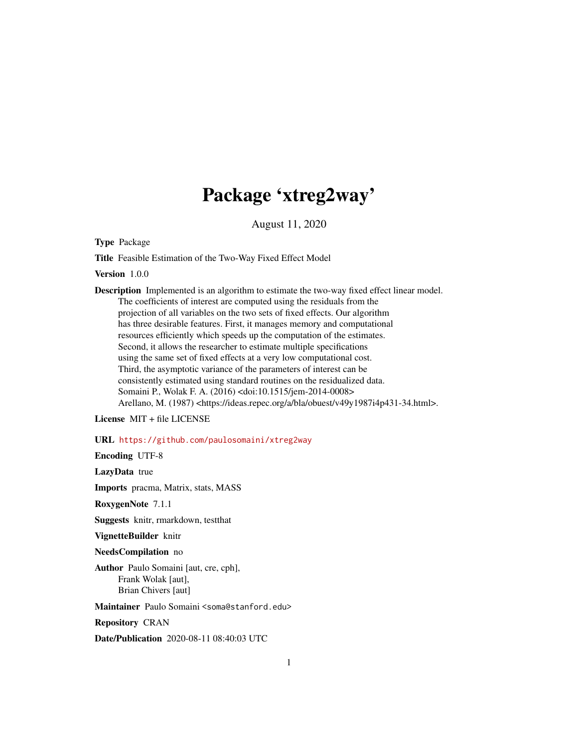# Package 'xtreg2way'

August 11, 2020

Type Package

Title Feasible Estimation of the Two-Way Fixed Effect Model

Version 1.0.0

Description Implemented is an algorithm to estimate the two-way fixed effect linear model. The coefficients of interest are computed using the residuals from the projection of all variables on the two sets of fixed effects. Our algorithm has three desirable features. First, it manages memory and computational resources efficiently which speeds up the computation of the estimates. Second, it allows the researcher to estimate multiple specifications using the same set of fixed effects at a very low computational cost. Third, the asymptotic variance of the parameters of interest can be consistently estimated using standard routines on the residualized data. Somaini P., Wolak F. A. (2016) <doi:10.1515/jem-2014-0008> Arellano, M. (1987) <https://ideas.repec.org/a/bla/obuest/v49y1987i4p431-34.html>.

License MIT + file LICENSE

URL <https://github.com/paulosomaini/xtreg2way>

Encoding UTF-8

LazyData true

Imports pracma, Matrix, stats, MASS

RoxygenNote 7.1.1

Suggests knitr, rmarkdown, testthat

VignetteBuilder knitr

NeedsCompilation no

Author Paulo Somaini [aut, cre, cph], Frank Wolak [aut], Brian Chivers [aut]

Maintainer Paulo Somaini <soma@stanford.edu>

Repository CRAN

Date/Publication 2020-08-11 08:40:03 UTC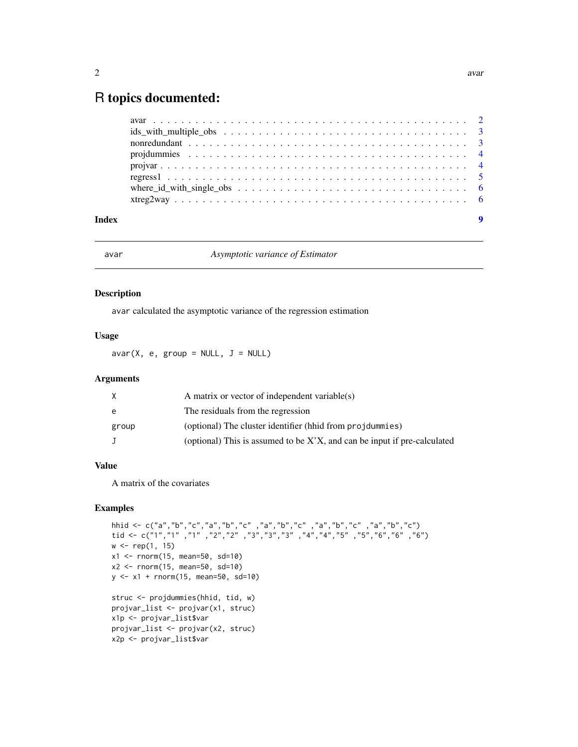# <span id="page-1-0"></span>R topics documented:

| where_id_with_single_obs $\dots \dots \dots \dots \dots \dots \dots \dots \dots \dots \dots \dots \dots \dots$ |  |
|----------------------------------------------------------------------------------------------------------------|--|
|                                                                                                                |  |
|                                                                                                                |  |

#### **Index** [9](#page-8-0)

avar *Asymptotic variance of Estimator*

#### Description

avar calculated the asymptotic variance of the regression estimation

#### Usage

 $avar(X, e, group = NULL, J = NULL)$ 

# Arguments

| X      | A matrix or vector of independent variable(s)                               |
|--------|-----------------------------------------------------------------------------|
| e      | The residuals from the regression                                           |
| group  | (optional) The cluster identifier (hhid from projdummies)                   |
| $\Box$ | (optional) This is assumed to be $X'X$ , and can be input if pre-calculated |

# Value

A matrix of the covariates

# Examples

```
hhid <- c("a","b","c","a","b","c" ,"a","b","c" ,"a","b","c" ,"a","b","c")
tid <- c("1","1" ,"1" ,"2","2" ,"3","3","3" ,"4","4","5" ,"5","6","6" ,"6")
w \leq rep(1, 15)x1 <- rnorm(15, mean=50, sd=10)
x2 \le - rnorm(15, mean=50, sd=10)
y \le -x1 + \text{norm}(15, \text{mean}=50, \text{sd}=10)struc <- projdummies(hhid, tid, w)
projvar_list <- projvar(x1, struc)
x1p <- projvar_list$var
projvar_list <- projvar(x2, struc)
x2p <- projvar_list$var
```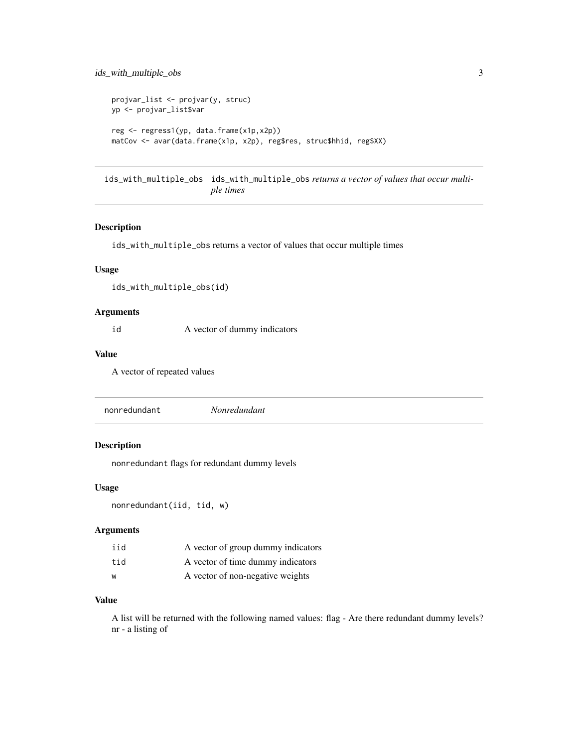```
projvar_list <- projvar(y, struc)
yp <- projvar_list$var
reg <- regress1(yp, data.frame(x1p,x2p))
matCov <- avar(data.frame(x1p, x2p), reg$res, struc$hhid, reg$XX)
```
ids\_with\_multiple\_obs ids\_with\_multiple\_obs *returns a vector of values that occur multiple times*

# Description

ids\_with\_multiple\_obs returns a vector of values that occur multiple times

#### Usage

```
ids_with_multiple_obs(id)
```
# Arguments

id A vector of dummy indicators

#### Value

A vector of repeated values

nonredundant *Nonredundant*

# Description

nonredundant flags for redundant dummy levels

# Usage

nonredundant(iid, tid, w)

#### Arguments

| iid | A vector of group dummy indicators |
|-----|------------------------------------|
| tid | A vector of time dummy indicators  |
| W   | A vector of non-negative weights   |

#### Value

A list will be returned with the following named values: flag - Are there redundant dummy levels? nr - a listing of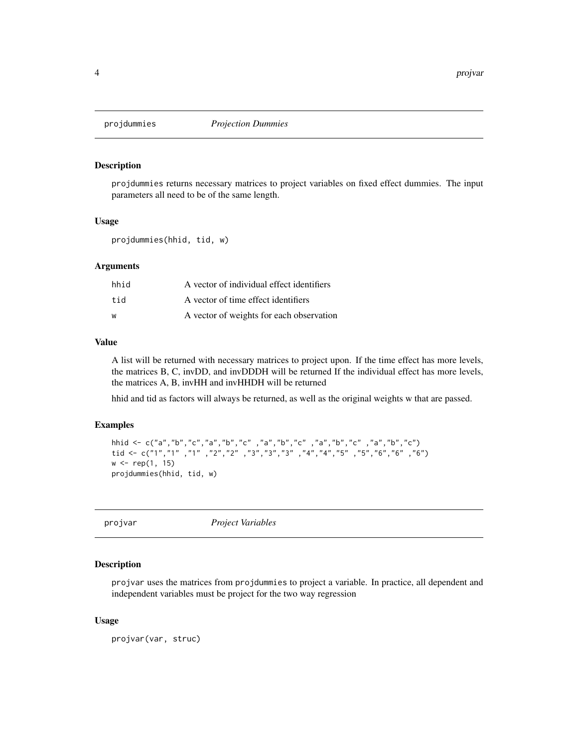<span id="page-3-0"></span>

# Description

projdummies returns necessary matrices to project variables on fixed effect dummies. The input parameters all need to be of the same length.

#### Usage

projdummies(hhid, tid, w)

#### Arguments

| hhid | A vector of individual effect identifiers |
|------|-------------------------------------------|
| tid  | A vector of time effect identifiers       |
| w    | A vector of weights for each observation  |

# Value

A list will be returned with necessary matrices to project upon. If the time effect has more levels, the matrices B, C, invDD, and invDDDH will be returned If the individual effect has more levels, the matrices A, B, invHH and invHHDH will be returned

hhid and tid as factors will always be returned, as well as the original weights w that are passed.

# Examples

```
hhid <- c("a","b","c","a","b","c" ,"a","b","c" ,"a","b","c" ,"a","b","c")
tid <- c("1","1" ,"1" ,"2","2" ,"3","3","3" ,"4","4","5" ,"5","6","6" ,"6")
w < - rep(1, 15)projdummies(hhid, tid, w)
```
projvar *Project Variables*

#### Description

projvar uses the matrices from projdummies to project a variable. In practice, all dependent and independent variables must be project for the two way regression

#### Usage

projvar(var, struc)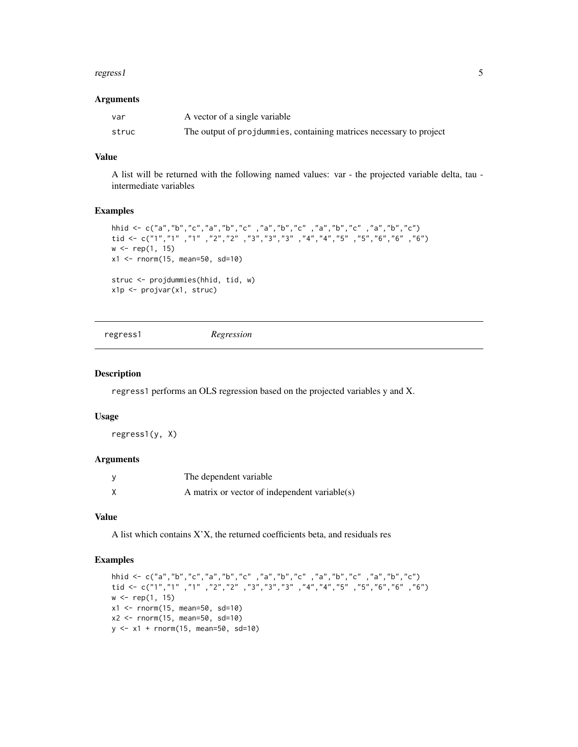#### <span id="page-4-0"></span>regress1 5

#### Arguments

| -var  | A vector of a single variable                                       |
|-------|---------------------------------------------------------------------|
| struc | The output of projdummies, containing matrices necessary to project |

# Value

A list will be returned with the following named values: var - the projected variable delta, tau intermediate variables

#### Examples

```
hhid <- c("a","b","c","a","b","c" ,"a","b","c" ,"a","b","c" ,"a","b","c")
tid <- c("1","1" ,"1" ,"2","2" ,"3","3","3" ,"4","4","5" ,"5","6","6" ,"6")
w < - rep(1, 15)x1 <- rnorm(15, mean=50, sd=10)
struc <- projdummies(hhid, tid, w)
x1p <- projvar(x1, struc)
```
regress1 *Regression*

# Description

regress1 performs an OLS regression based on the projected variables y and X.

# Usage

regress1(y, X)

# Arguments

| The dependent variable                        |
|-----------------------------------------------|
| A matrix or vector of independent variable(s) |

# Value

A list which contains X'X, the returned coefficients beta, and residuals res

# Examples

```
hhid <- c("a","b","c","a","b","c" ,"a","b","c" ,"a","b","c" ,"a","b","c")
tid <- c("1","1" ,"1" ,"2","2" ,"3","3","3" ,"4","4","5" ,"5","6","6" ,"6")
w < - rep(1, 15)
x1 \le - rnorm(15, mean=50, sd=10)
x2 <- rnorm(15, mean=50, sd=10)
y \le -x1 + \text{norm}(15, \text{mean}=50, \text{sd}=10)
```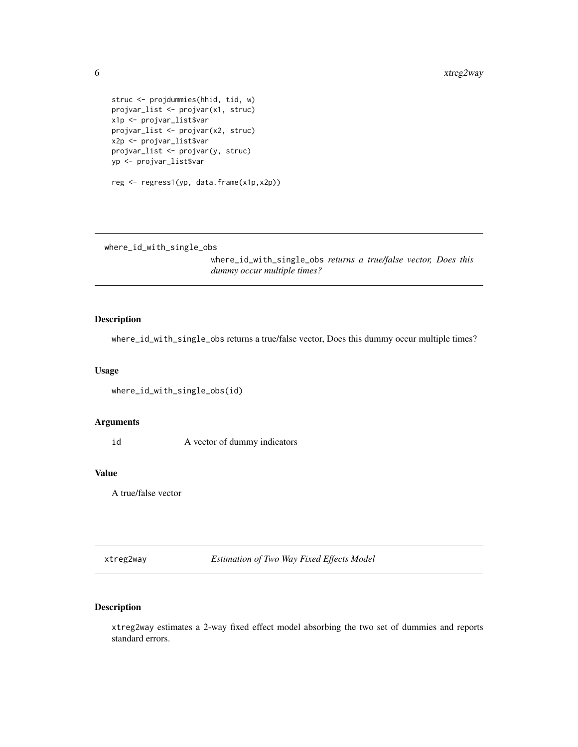```
struc <- projdummies(hhid, tid, w)
projvar_list <- projvar(x1, struc)
x1p <- projvar_list$var
projvar_list <- projvar(x2, struc)
x2p <- projvar_list$var
projvar_list <- projvar(y, struc)
yp <- projvar_list$var
reg <- regress1(yp, data.frame(x1p,x2p))
```
where\_id\_with\_single\_obs

where\_id\_with\_single\_obs *returns a true/false vector, Does this dummy occur multiple times?*

# Description

where\_id\_with\_single\_obs returns a true/false vector, Does this dummy occur multiple times?

#### Usage

```
where_id_with_single_obs(id)
```
# Arguments

id A vector of dummy indicators

#### Value

A true/false vector

xtreg2way *Estimation of Two Way Fixed Effects Model*

# Description

xtreg2way estimates a 2-way fixed effect model absorbing the two set of dummies and reports standard errors.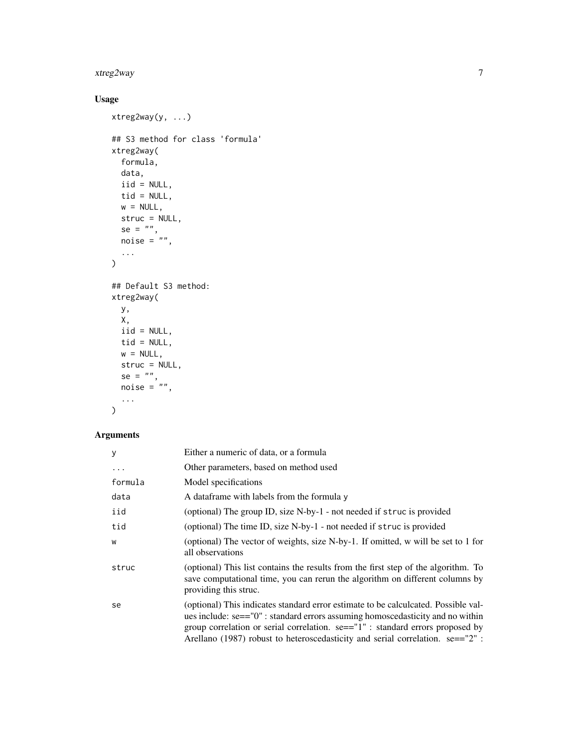# xtreg2way 7

# Usage

```
xtreg2way(y, ...)
## S3 method for class 'formula'
xtreg2way(
 formula,
  data,
  iid = NULL,tid = NULL,w = NULL,struc = NULL,
  se = "",noise = \sqrt{n},
  ...
\mathcal{L}## Default S3 method:
xtreg2way(
  y,
  X,
 iid = NULL,
  tid = NULL,
  w = NULL,struc = NULL,
  se = "",noise = ",
  ...
\mathcal{L}
```
# Arguments

| У       | Either a numeric of data, or a formula                                                                                                                                                                                                                                                                                                   |
|---------|------------------------------------------------------------------------------------------------------------------------------------------------------------------------------------------------------------------------------------------------------------------------------------------------------------------------------------------|
| .       | Other parameters, based on method used                                                                                                                                                                                                                                                                                                   |
| formula | Model specifications                                                                                                                                                                                                                                                                                                                     |
| data    | A data frame with labels from the formula y                                                                                                                                                                                                                                                                                              |
| iid     | (optional) The group ID, size N-by-1 - not needed if struc is provided                                                                                                                                                                                                                                                                   |
| tid     | (optional) The time ID, size N-by-1 - not needed if struc is provided                                                                                                                                                                                                                                                                    |
| W       | (optional) The vector of weights, size N-by-1. If omitted, w will be set to 1 for<br>all observations                                                                                                                                                                                                                                    |
| struc   | (optional) This list contains the results from the first step of the algorithm. To<br>save computational time, you can rerun the algorithm on different columns by<br>providing this struc.                                                                                                                                              |
| se      | (optional) This indicates standard error estimate to be calculcated. Possible val-<br>ues include: se=="0" : standard errors assuming homoscedasticity and no within<br>group correlation or serial correlation. se=="1" : standard errors proposed by<br>Arellano (1987) robust to heteroscedasticity and serial correlation. se=="2" : |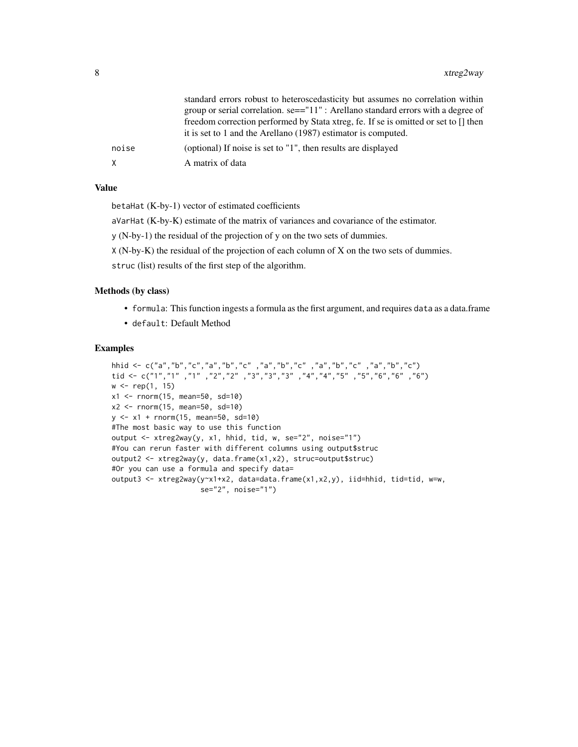|       | standard errors robust to heteroscedasticity but assumes no correlation within<br>group or serial correlation. $se=-11"$ : Arellano standard errors with a degree of<br>freedom correction performed by Stata xtreg, fe. If se is omitted or set to [] then<br>it is set to 1 and the Arellano (1987) estimator is computed. |
|-------|------------------------------------------------------------------------------------------------------------------------------------------------------------------------------------------------------------------------------------------------------------------------------------------------------------------------------|
| noise | (optional) If noise is set to "1", then results are displayed                                                                                                                                                                                                                                                                |
| X     | A matrix of data                                                                                                                                                                                                                                                                                                             |

# Value

betaHat (K-by-1) vector of estimated coefficients

aVarHat (K-by-K) estimate of the matrix of variances and covariance of the estimator.

y (N-by-1) the residual of the projection of y on the two sets of dummies.

X (N-by-K) the residual of the projection of each column of X on the two sets of dummies.

struc (list) results of the first step of the algorithm.

# Methods (by class)

- formula: This function ingests a formula as the first argument, and requires data as a data.frame
- default: Default Method

# Examples

```
hhid <- c("a","b","c","a","b","c" ,"a","b","c" ,"a","b","c" ,"a","b","c")
tid <- c("1","1" ,"1" ,"2","2" ,"3","3","3" ,"4","4","5" ,"5","6","6" ,"6")
w < - rep(1, 15)x1 \le - rnorm(15, mean=50, sd=10)
x2 \le rnorm(15, mean=50, sd=10)
y <- x1 + rnorm(15, mean=50, sd=10)
#The most basic way to use this function
output <- xtreg2way(y, x1, hhid, tid, w, se="2", noise="1")
#You can rerun faster with different columns using output$struc
output2 <- xtreg2way(y, data.frame(x1,x2), struc=output$struc)
#Or you can use a formula and specify data=
output3 <- xtreg2way(y~x1+x2, data=data.frame(x1,x2,y), iid=hhid, tid=tid, w=w,
                     se="2", noise="1")
```